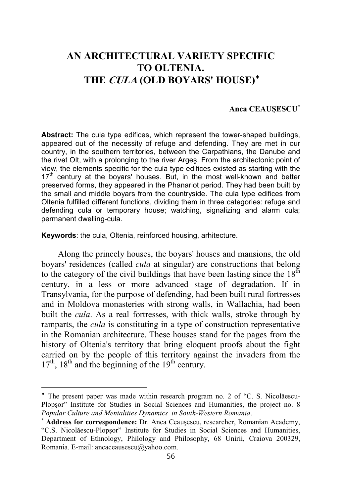## **AN ARCHITECTURAL VARIETY SPECIFIC TO OLTENIA. THE CULA (OLD BOYARS' HOUSE)**♦

## **Anca CEAUŞESCU**<sup>∗</sup>

**Abstract:** The cula type edifices, which represent the tower-shaped buildings, appeared out of the necessity of refuge and defending. They are met in our country, in the southern territories, between the Carpathians, the Danube and the rivet Olt, with a prolonging to the river Argeş. From the architectonic point of view, the elements specific for the cula type edifices existed as starting with the  $17<sup>th</sup>$  century at the boyars' houses. But, in the most well-known and better preserved forms, they appeared in the Phanariot period. They had been built by the small and middle boyars from the countryside. The cula type edifices from Oltenia fulfilled different functions, dividing them in three categories: refuge and defending cula or temporary house; watching, signalizing and alarm cula; permanent dwelling-cula.

**Keywords**: the cula, Oltenia, reinforced housing, arhitecture.

l

Along the princely houses, the boyars' houses and mansions, the old boyars' residences (called *cula* at singular) are constructions that belong to the category of the civil buildings that have been lasting since the  $18<sup>th</sup>$ century, in a less or more advanced stage of degradation. If in Transylvania, for the purpose of defending, had been built rural fortresses and in Moldova monasteries with strong walls, in Wallachia, had been built the *cula*. As a real fortresses, with thick walls, stroke through by ramparts, the *cula* is constituting in a type of construction representative in the Romanian architecture. These houses stand for the pages from the history of Oltenia's territory that bring eloquent proofs about the fight carried on by the people of this territory against the invaders from the  $17<sup>th</sup>$ ,  $18<sup>th</sup>$  and the beginning of the  $19<sup>th</sup>$  century.

<sup>♦</sup> The present paper was made within research program no. 2 of "C. S. Nicolăescu-Plopşor" Institute for Studies in Social Sciences and Humanities, the project no. 8 *Popular Culture and Mentalities Dynamics in South-Western Romania*.

<sup>∗</sup> **Address for correspondence:** Dr. Anca Ceauşescu, researcher, Romanian Academy, "C.S. Nicolăescu-Plopşor" Institute for Studies in Social Sciences and Humanities, Department of Ethnology, Philology and Philosophy, 68 Unirii, Craiova 200329, Romania. E-mail: ancaceausescu@yahoo.com.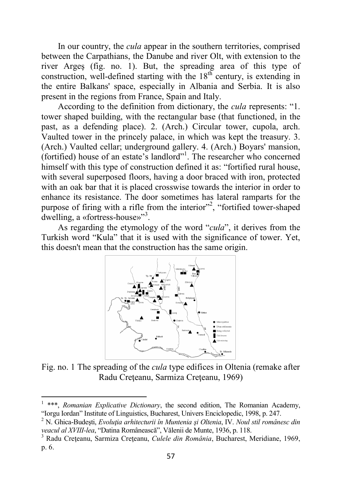In our country, the *cula* appear in the southern territories, comprised between the Carpathians, the Danube and river Olt, with extension to the river Argeş (fig. no. 1). But, the spreading area of this type of construction, well-defined starting with the  $18<sup>th</sup>$  century, is extending in the entire Balkans' space, especially in Albania and Serbia. It is also present in the regions from France, Spain and Italy.

According to the definition from dictionary, the *cula* represents: "1. tower shaped building, with the rectangular base (that functioned, in the past, as a defending place). 2. (Arch.) Circular tower, cupola, arch. Vaulted tower in the princely palace, in which was kept the treasury. 3. (Arch.) Vaulted cellar; underground gallery. 4. (Arch.) Boyars' mansion, (fortified) house of an estate's landlord"<sup>1</sup> . The researcher who concerned himself with this type of construction defined it as: "fortified rural house, with several superposed floors, having a door braced with iron, protected with an oak bar that it is placed crosswise towards the interior in order to enhance its resistance. The door sometimes has lateral ramparts for the purpose of firing with a rifle from the interior"<sup>2</sup>, "fortified tower-shaped dwelling, a «fortress-house»<sup>3</sup>.

As regarding the etymology of the word "*cula*", it derives from the Turkish word "Kula" that it is used with the significance of tower. Yet, this doesn't mean that the construction has the same origin.



Fig. no. 1 The spreading of the *cula* type edifices in Oltenia (remake after Radu Creţeanu, Sarmiza Creţeanu, 1969)

 $\overline{\phantom{0}}$ 

<sup>&</sup>lt;sup>1</sup> \*\*\*, *Romanian Explicative Dictionary*, the second edition, The Romanian Academy, "Iorgu Iordan" Institute of Linguistics, Bucharest, Univers Enciclopedic, 1998, p. 247.

<sup>2</sup> N. Ghica-Budeşti, *Evoluţia arhitecturii în Muntenia şi Oltenia*, IV. *Noul stil românesc din veacul al XVIII-lea*, "Datina Românească", Vălenii de Munte, 1936, p. 118.

<sup>3</sup> Radu Creţeanu, Sarmiza Creţeanu, *Culele din România*, Bucharest, Meridiane, 1969, p. 6.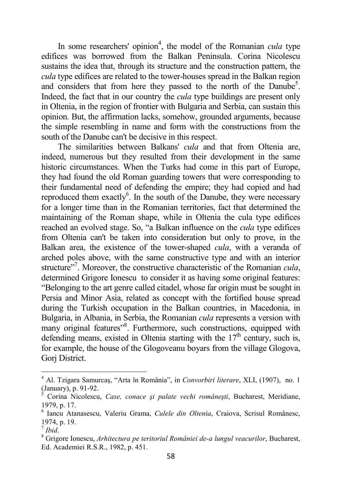In some researchers' opinion<sup>4</sup>, the model of the Romanian *cula* type edifices was borrowed from the Balkan Peninsula. Corina Nicolescu sustains the idea that, through its structure and the construction pattern, the *cula* type edifices are related to the tower-houses spread in the Balkan region and considers that from here they passed to the north of the Danube<sup>5</sup>. Indeed, the fact that in our country the *cula* type buildings are present only in Oltenia, in the region of frontier with Bulgaria and Serbia, can sustain this opinion. But, the affirmation lacks, somehow, grounded arguments, because the simple resembling in name and form with the constructions from the south of the Danube can't be decisive in this respect.

The similarities between Balkans' *cula* and that from Oltenia are, indeed, numerous but they resulted from their development in the same historic circumstances. When the Turks had come in this part of Europe, they had found the old Roman guarding towers that were corresponding to their fundamental need of defending the empire; they had copied and had reproduced them exactly<sup>6</sup>. In the south of the Danube, they were necessary for a longer time than in the Romanian territories, fact that determined the maintaining of the Roman shape, while in Oltenia the cula type edifices reached an evolved stage. So, "a Balkan influence on the *cula* type edifices from Oltenia can't be taken into consideration but only to prove, in the Balkan area, the existence of the tower-shaped *cula*, with a veranda of arched poles above, with the same constructive type and with an interior structure"<sup>7</sup>. Moreover, the constructive characteristic of the Romanian *cula*, determined Grigore Ionescu to consider it as having some original features: "Belonging to the art genre called citadel, whose far origin must be sought in Persia and Minor Asia, related as concept with the fortified house spread during the Turkish occupation in the Balkan countries, in Macedonia, in Bulgaria, in Albania, in Serbia, the Romanian *cula* represents a version with many original features"<sup>8</sup>. Furthermore, such constructions, equipped with defending means, existed in Oltenia starting with the  $17<sup>th</sup>$  century, such is, for example, the house of the Glogoveanu boyars from the village Glogova, Gorj District.

 4 Al. Tzigara Samurcaş, "Arta în România", in *Convorbiri literare*, XLI, (1907), no. 1 (January), p. 91-92.

<sup>5</sup> Corina Nicolescu, *Case, conace şi palate vechi româneşti*, Bucharest, Meridiane, 1979, p. 17.

<sup>6</sup> Iancu Atanasescu, Valeriu Grama, *Culele din Oltenia*, Craiova, Scrisul Românesc, 1974, p. 19.

<sup>7</sup>  *Ibid*.

<sup>8</sup> Grigore Ionescu, *Arhitectura pe teritoriul României de-a lungul veacurilor*, Bucharest, Ed. Academiei R.S.R., 1982, p. 451.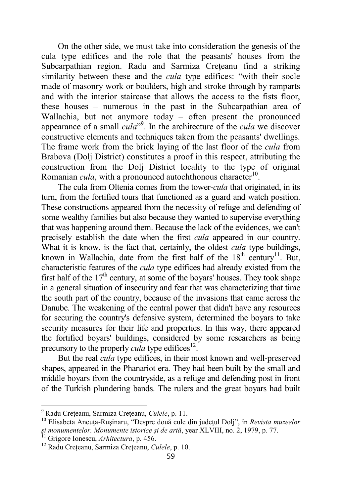On the other side, we must take into consideration the genesis of the cula type edifices and the role that the peasants' houses from the Subcarpathian region. Radu and Sarmiza Creteanu find a striking similarity between these and the *cula* type edifices: "with their socle made of masonry work or boulders, high and stroke through by ramparts and with the interior staircase that allows the access to the fists floor, these houses – numerous in the past in the Subcarpathian area of Wallachia, but not anymore today – often present the pronounced appearance of a small *cula*" 9 . In the architecture of the *cula* we discover constructive elements and techniques taken from the peasants' dwellings. The frame work from the brick laying of the last floor of the *cula* from Brabova (Dolj District) constitutes a proof in this respect, attributing the construction from the Dolj District locality to the type of original Romanian *cula*, with a pronounced autochthonous character<sup>10</sup>.

The cula from Oltenia comes from the tower-*cula* that originated, in its turn, from the fortified tours that functioned as a guard and watch position. These constructions appeared from the necessity of refuge and defending of some wealthy families but also because they wanted to supervise everything that was happening around them. Because the lack of the evidences, we can't precisely establish the date when the first *cula* appeared in our country. What it is know, is the fact that, certainly, the oldest *cula* type buildings, known in Wallachia, date from the first half of the  $18<sup>th</sup>$  century<sup>11</sup>. But, characteristic features of the *cula* type edifices had already existed from the first half of the  $17<sup>th</sup>$  century, at some of the boyars' houses. They took shape in a general situation of insecurity and fear that was characterizing that time the south part of the country, because of the invasions that came across the Danube. The weakening of the central power that didn't have any resources for securing the country's defensive system, determined the boyars to take security measures for their life and properties. In this way, there appeared the fortified boyars' buildings, considered by some researchers as being precursory to the properly *cula* type edifices<sup>12</sup>.

But the real *cula* type edifices, in their most known and well-preserved shapes, appeared in the Phanariot era. They had been built by the small and middle boyars from the countryside, as a refuge and defending post in front of the Turkish plundering bands. The rulers and the great boyars had built

 9 Radu Creţeanu, Sarmiza Creţeanu, *Culele*, p. 11.

<sup>10</sup> Elisabeta Ancuţa-Ruşinaru, "Despre două cule din judeţul Dolj", în *Revista muzeelor şi monumentelor. Monumente istorice şi de artă*, year XLVIII, no. 2, 1979, p. 77.

<sup>11</sup> Grigore Ionescu, *Arhitectura*, p. 456.

<sup>&</sup>lt;sup>12</sup> Radu Crețeanu, Sarmiza Crețeanu, *Culele*, p. 10.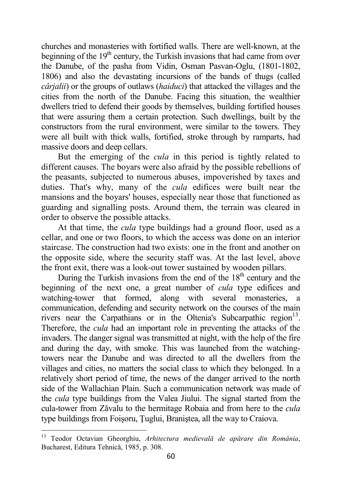churches and monasteries with fortified walls. There are well-known, at the beginning of the  $19<sup>th</sup>$  century, the Turkish invasions that had came from over the Danube, of the pasha from Vidin, Osman Pasvan-Oglu, (1801-1802, 1806) and also the devastating incursions of the bands of thugs (called *cârjalii*) or the groups of outlaws (*haiduci*) that attacked the villages and the cities from the north of the Danube. Facing this situation, the wealthier dwellers tried to defend their goods by themselves, building fortified houses that were assuring them a certain protection. Such dwellings, built by the constructors from the rural environment, were similar to the towers. They were all built with thick walls, fortified, stroke through by ramparts, had massive doors and deep cellars.

But the emerging of the *cula* in this period is tightly related to different causes. The boyars were also afraid by the possible rebellions of the peasants, subjected to numerous abuses, impoverished by taxes and duties. That's why, many of the *cula* edifices were built near the mansions and the boyars' houses, especially near those that functioned as guarding and signalling posts. Around them, the terrain was cleared in order to observe the possible attacks.

At that time, the *cula* type buildings had a ground floor, used as a cellar, and one or two floors, to which the access was done on an interior staircase. The construction had two exists: one in the front and another on the opposite side, where the security staff was. At the last level, above the front exit, there was a look-out tower sustained by wooden pillars.

During the Turkish invasions from the end of the  $18<sup>th</sup>$  century and the beginning of the next one, a great number of *cula* type edifices and watching-tower that formed, along with several monasteries, a communication, defending and security network on the courses of the main rivers near the Carpathians or in the Oltenia's Subcarpathic region<sup>13</sup>. Therefore, the *cula* had an important role in preventing the attacks of the invaders. The danger signal was transmitted at night, with the help of the fire and during the day, with smoke. This was launched from the watchingtowers near the Danube and was directed to all the dwellers from the villages and cities, no matters the social class to which they belonged. In a relatively short period of time, the news of the danger arrived to the north side of the Wallachian Plain. Such a communication network was made of the *cula* type buildings from the Valea Jiului. The signal started from the cula-tower from Zăvalu to the hermitage Robaia and from here to the *cula* type buildings from Foişoru, Ţuglui, Braniştea, all the way to Craiova.

 $\overline{a}$ 

<sup>13</sup> Teodor Octavian Gheorghiu, *Arhitectura medievală de apărare din România*, Bucharest, Editura Tehnică, 1985, p. 308.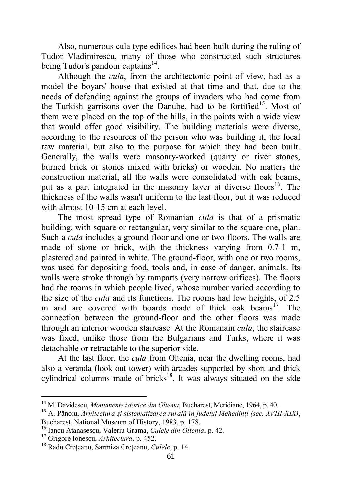Also, numerous cula type edifices had been built during the ruling of Tudor Vladimirescu, many of those who constructed such structures being Tudor's pandour captains<sup>14</sup>.

Although the *cula*, from the architectonic point of view, had as a model the boyars' house that existed at that time and that, due to the needs of defending against the groups of invaders who had come from the Turkish garrisons over the Danube, had to be fortified<sup>15</sup>. Most of them were placed on the top of the hills, in the points with a wide view that would offer good visibility. The building materials were diverse, according to the resources of the person who was building it, the local raw material, but also to the purpose for which they had been built. Generally, the walls were masonry-worked (quarry or river stones, burned brick or stones mixed with bricks) or wooden. No matters the construction material, all the walls were consolidated with oak beams, put as a part integrated in the masonry layer at diverse floors<sup>16</sup>. The thickness of the walls wasn't uniform to the last floor, but it was reduced with almost 10-15 cm at each level.

The most spread type of Romanian *cula* is that of a prismatic building, with square or rectangular, very similar to the square one, plan. Such a *cula* includes a ground-floor and one or two floors. The walls are made of stone or brick, with the thickness varying from 0.7-1 m, plastered and painted in white. The ground-floor, with one or two rooms, was used for depositing food, tools and, in case of danger, animals. Its walls were stroke through by ramparts (very narrow orifices). The floors had the rooms in which people lived, whose number varied according to the size of the *cula* and its functions. The rooms had low heights, of 2.5 m and are covered with boards made of thick oak beams<sup>17</sup>. The connection between the ground-floor and the other floors was made through an interior wooden staircase. At the Romanain *cula*, the staircase was fixed, unlike those from the Bulgarians and Turks, where it was detachable or retractable to the superior side.

At the last floor, the *cula* from Oltenia, near the dwelling rooms, had also a veranda (look-out tower) with arcades supported by short and thick cylindrical columns made of bricks<sup>18</sup>. It was always situated on the side

 $\overline{\phantom{0}}$ 

<sup>14</sup> M. Davidescu, *Monumente istorice din Oltenia*, Bucharest, Meridiane, 1964, p. 40.

<sup>15</sup> A. Pănoiu, *Arhitectura şi sistematizarea rurală în judeţul Mehedinţi (sec. XVIII-XIX)*,

Bucharest, National Museum of History, 1983, p. 178.

<sup>16</sup> Iancu Atanasescu, Valeriu Grama, *Culele din Oltenia*, p. 42.

<sup>17</sup> Grigore Ionescu, *Arhitectura*, p. 452.

<sup>18</sup> Radu Creţeanu, Sarmiza Creţeanu, *Culele*, p. 14.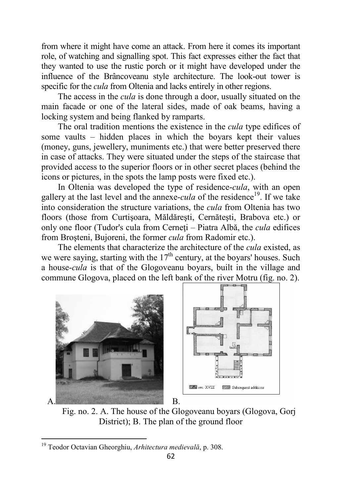from where it might have come an attack. From here it comes its important role, of watching and signalling spot. This fact expresses either the fact that they wanted to use the rustic porch or it might have developed under the influence of the Brâncoveanu style architecture. The look-out tower is specific for the *cula* from Oltenia and lacks entirely in other regions.

The access in the *cula* is done through a door, usually situated on the main facade or one of the lateral sides, made of oak beams, having a locking system and being flanked by ramparts.

The oral tradition mentions the existence in the *cula* type edifices of some vaults – hidden places in which the boyars kept their values (money, guns, jewellery, muniments etc.) that were better preserved there in case of attacks. They were situated under the steps of the staircase that provided access to the superior floors or in other secret places (behind the icons or pictures, in the spots the lamp posts were fixed etc.).

In Oltenia was developed the type of residence-*cula*, with an open gallery at the last level and the annexe-*cula* of the residence<sup>19</sup>. If we take into consideration the structure variations, the *cula* from Oltenia has two floors (those from Curtişoara, Măldăreşti, Cernăteşti, Brabova etc.) or only one floor (Tudor's cula from Cerneți – Piatra Albă, the *cula* edifices from Broşteni, Bujoreni, the former *cula* from Radomir etc.).

The elements that characterize the architecture of the *cula* existed, as we were saying, starting with the  $17<sup>th</sup>$  century, at the boyars' houses. Such a house-*cula* is that of the Glogoveanu boyars, built in the village and commune Glogova, placed on the left bank of the river Motru (fig. no. 2).



Fig. no. 2. A. The house of the Glogoveanu boyars (Glogova, Gorj District); B. The plan of the ground floor

l

<sup>19</sup> Teodor Octavian Gheorghiu, *Arhitectura medievală*, p. 308.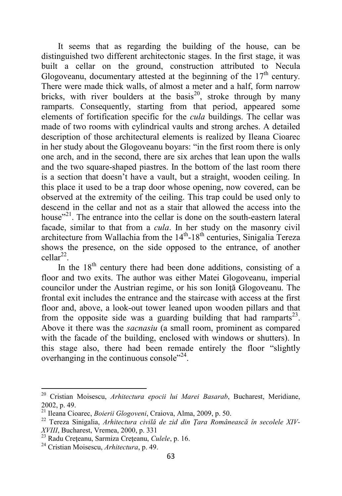It seems that as regarding the building of the house, can be distinguished two different architectonic stages. In the first stage, it was built a cellar on the ground, construction attributed to Necula Glogoveanu, documentary attested at the beginning of the  $17<sup>th</sup>$  century. There were made thick walls, of almost a meter and a half, form narrow bricks, with river boulders at the basis<sup>20</sup>, stroke through by many ramparts. Consequently, starting from that period, appeared some elements of fortification specific for the *cula* buildings. The cellar was made of two rooms with cylindrical vaults and strong arches. A detailed description of those architectural elements is realized by Ileana Cioarec in her study about the Glogoveanu boyars: "in the first room there is only one arch, and in the second, there are six arches that lean upon the walls and the two square-shaped piastres. In the bottom of the last room there is a section that doesn't have a vault, but a straight, wooden ceiling. In this place it used to be a trap door whose opening, now covered, can be observed at the extremity of the ceiling. This trap could be used only to descend in the cellar and not as a stair that allowed the access into the house"<sup>21</sup>. The entrance into the cellar is done on the south-eastern lateral facade, similar to that from a *cula*. In her study on the masonry civil architecture from Wallachia from the  $14<sup>th</sup>$ -18<sup>th</sup> centuries. Sinigalia Tereza shows the presence, on the side opposed to the entrance, of another  $\text{cellar}^{22}$ .

In the  $18<sup>th</sup>$  century there had been done additions, consisting of a floor and two exits. The author was either Matei Glogoveanu, imperial councilor under the Austrian regime, or his son Ionită Glogoveanu. The frontal exit includes the entrance and the staircase with access at the first floor and, above, a look-out tower leaned upon wooden pillars and that from the opposite side was a guarding building that had ramparts<sup>23</sup>. Above it there was the *sacnasiu* (a small room, prominent as compared with the facade of the building, enclosed with windows or shutters). In this stage also, there had been remade entirely the floor "slightly overhanging in the continuous console"<sup>24</sup>.

l

<sup>20</sup> Cristian Moisescu, *Arhitectura epocii lui Marei Basarab*, Bucharest, Meridiane, 2002, p. 49.

<sup>21</sup> Ileana Cioarec, *Boierii Glogoveni*, Craiova, Alma, 2009, p. 50.

<sup>22</sup> Tereza Sinigalia, *Arhitectura civilă de zid din Ţara Românească în secolele XIV-XVIII*, Bucharest, Vremea, 2000, p. 331

<sup>&</sup>lt;sup>23</sup> Radu Crețeanu, Sarmiza Crețeanu, *Culele*, p. 16.

<sup>24</sup> Cristian Moisescu, *Arhitectura*, p. 49.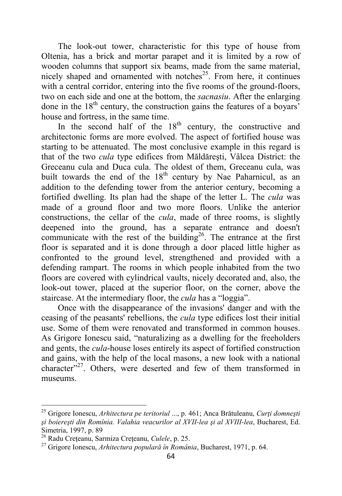The look-out tower, characteristic for this type of house from Oltenia, has a brick and mortar parapet and it is limited by a row of wooden columns that support six beams, made from the same material, nicely shaped and ornamented with notches $2<sup>5</sup>$ . From here, it continues with a central corridor, entering into the five rooms of the ground-floors, two on each side and one at the bottom, the *sacnasiu*. After the enlarging done in the  $18<sup>th</sup>$  century, the construction gains the features of a boyars' house and fortress, in the same time.

In the second half of the  $18<sup>th</sup>$  century, the constructive and architectonic forms are more evolved. The aspect of fortified house was starting to be attenuated. The most conclusive example in this regard is that of the two *cula* type edifices from Măldăreşti, Vâlcea District: the Greceanu cula and Duca cula. The oldest of them, Greceanu cula, was built towards the end of the  $18<sup>th</sup>$  century by Nae Paharnicul, as an addition to the defending tower from the anterior century, becoming a fortified dwelling. Its plan had the shape of the letter L. The *cula* was made of a ground floor and two more floors. Unlike the anterior constructions, the cellar of the *cula*, made of three rooms, is slightly deepened into the ground, has a separate entrance and doesn't communicate with the rest of the building<sup>26</sup>. The entrance at the first floor is separated and it is done through a door placed little higher as confronted to the ground level, strengthened and provided with a defending rampart. The rooms in which people inhabited from the two floors are covered with cylindrical vaults, nicely decorated and, also, the look-out tower, placed at the superior floor, on the corner, above the staircase. At the intermediary floor, the *cula* has a "loggia".

Once with the disappearance of the invasions' danger and with the ceasing of the peasants' rebellions, the *cula* type edifices lost their initial use. Some of them were renovated and transformed in common houses. As Grigore Ionescu said, "naturalizing as a dwelling for the freeholders and gents, the *cula*-house loses entirely its aspect of fortified construction and gains, with the help of the local masons, a new look with a national character"<sup>27</sup>. Others, were deserted and few of them transformed in museums.

 $\overline{a}$ 

<sup>&</sup>lt;sup>25</sup> Grigore Ionescu, *Arhitectura pe teritoriul* ..., p. 461; Anca Brătuleanu, *Curti domnesti şi boiereşti din Romînia. Valahia veacurilor al XVII-lea şi al XVIII-lea*, Bucharest, Ed. Simetria, 1997, p. 89

<sup>26</sup> Radu Creţeanu, Sarmiza Creţeanu, *Culele*, p. 25.

<sup>27</sup> Grigore Ionescu, *Arhitectura populară în România*, Bucharest, 1971, p. 64.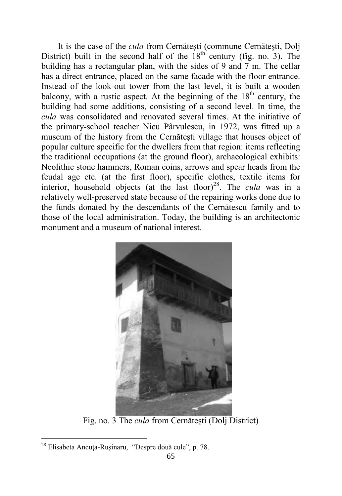It is the case of the *cula* from Cernăteşti (commune Cernăteşti, Dolj District) built in the second half of the  $18<sup>th</sup>$  century (fig. no. 3). The building has a rectangular plan, with the sides of 9 and 7 m. The cellar has a direct entrance, placed on the same facade with the floor entrance. Instead of the look-out tower from the last level, it is built a wooden balcony, with a rustic aspect. At the beginning of the  $18<sup>th</sup>$  century, the building had some additions, consisting of a second level. In time, the *cula* was consolidated and renovated several times. At the initiative of the primary-school teacher Nicu Pârvulescu, in 1972, was fitted up a museum of the history from the Cernăteşti village that houses object of popular culture specific for the dwellers from that region: items reflecting the traditional occupations (at the ground floor), archaeological exhibits: Neolithic stone hammers, Roman coins, arrows and spear heads from the feudal age etc. (at the first floor), specific clothes, textile items for interior, household objects (at the last floor)<sup>28</sup>. The *cula* was in a relatively well-preserved state because of the repairing works done due to the funds donated by the descendants of the Cernătescu family and to those of the local administration. Today, the building is an architectonic monument and a museum of national interest.



Fig. no. 3 The *cula* from Cernăteşti (Dolj District)

l

<sup>&</sup>lt;sup>28</sup> Elisabeta Ancuța-Rușinaru, "Despre două cule", p. 78.